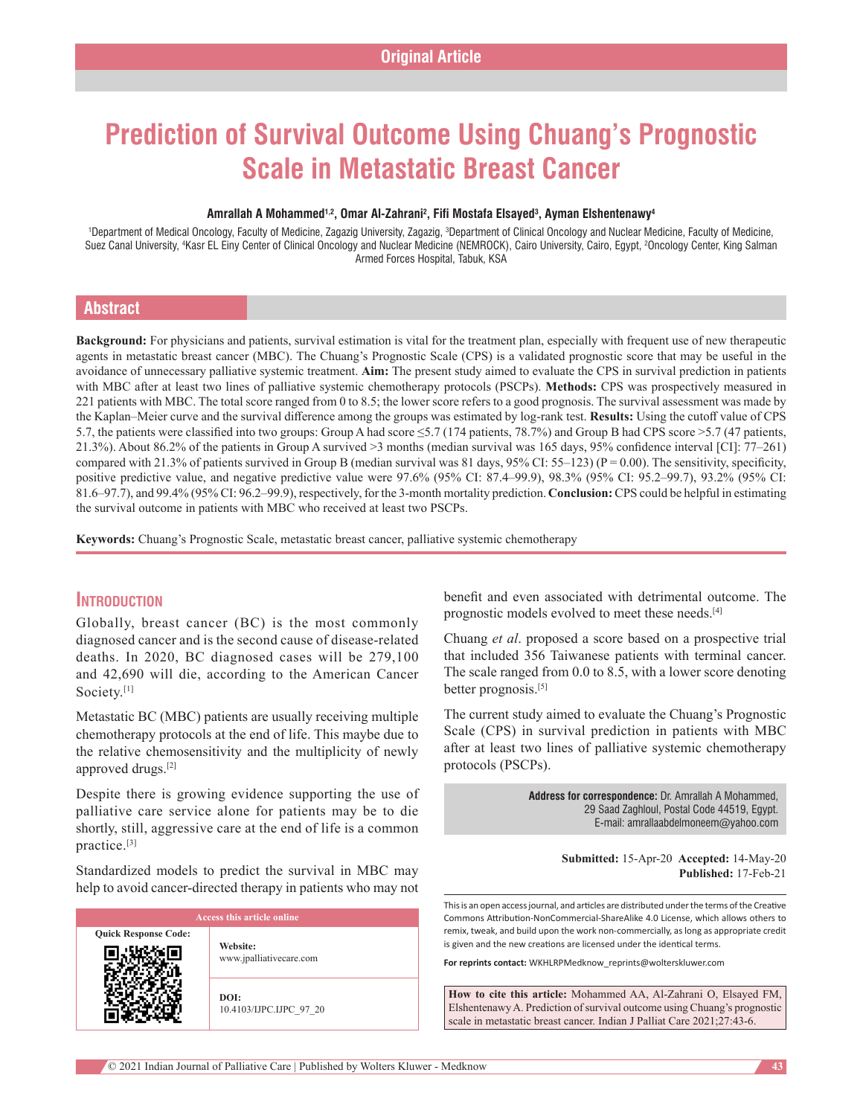# **Prediction of Survival Outcome Using Chuang's Prognostic Scale in Metastatic Breast Cancer**

#### **Amrallah A Mohammed1,2, Omar Al‑Zahrani2 , Fifi Mostafa Elsayed3 , Ayman Elshentenawy4**

<sup>1</sup>Department of Medical Oncology, Faculty of Medicine, Zagazig University, Zagazig, <sup>3</sup>Department of Clinical Oncology and Nuclear Medicine, Faculty of Medicine, Suez Canal University, <sup>4</sup>Kasr EL Einy Center of Clinical Oncology and Nuclear Medicine (NEMROCK), Cairo University, Cairo, Egypt, <sup>2</sup>Oncology Center, King Salman Armed Forces Hospital, Tabuk, KSA

#### **Abstract**

**Background:** For physicians and patients, survival estimation is vital for the treatment plan, especially with frequent use of new therapeutic agents in metastatic breast cancer (MBC). The Chuang's Prognostic Scale (CPS) is a validated prognostic score that may be useful in the avoidance of unnecessary palliative systemic treatment. **Aim:** The present study aimed to evaluate the CPS in survival prediction in patients with MBC after at least two lines of palliative systemic chemotherapy protocols (PSCPs). **Methods:** CPS was prospectively measured in 221 patients with MBC. The total score ranged from 0 to 8.5; the lower score refers to a good prognosis. The survival assessment was made by the Kaplan–Meier curve and the survival difference among the groups was estimated by log-rank test. **Results:** Using the cutoff value of CPS 5.7, the patients were classified into two groups: Group A had score ≤5.7 (174 patients, 78.7%) and Group B had CPS score >5.7 (47 patients, 21.3%). About 86.2% of the patients in Group A survived >3 months (median survival was 165 days, 95% confidence interval [CI]: 77–261) compared with 21.3% of patients survived in Group B (median survival was 81 days, 95% CI: 55–123) ( $P = 0.00$ ). The sensitivity, specificity, positive predictive value, and negative predictive value were 97.6% (95% CI: 87.4–99.9), 98.3% (95% CI: 95.2–99.7), 93.2% (95% CI: 81.6–97.7), and 99.4% (95% CI: 96.2–99.9), respectively, for the 3-month mortality prediction. **Conclusion:** CPS could be helpful in estimating the survival outcome in patients with MBC who received at least two PSCPs.

**Keywords:** Chuang's Prognostic Scale, metastatic breast cancer, palliative systemic chemotherapy

#### **Introduction**

Globally, breast cancer (BC) is the most commonly diagnosed cancer and is the second cause of disease-related deaths. In 2020, BC diagnosed cases will be 279,100 and 42,690 will die, according to the American Cancer Society.<sup>[1]</sup>

Metastatic BC (MBC) patients are usually receiving multiple chemotherapy protocols at the end of life. This maybe due to the relative chemosensitivity and the multiplicity of newly approved drugs.[2]

Despite there is growing evidence supporting the use of palliative care service alone for patients may be to die shortly, still, aggressive care at the end of life is a common practice.[3]

Standardized models to predict the survival in MBC may help to avoid cancer-directed therapy in patients who may not

| <b>Access this article online</b> |                                     |  |
|-----------------------------------|-------------------------------------|--|
| <b>Quick Response Code:</b>       | Website:<br>www.jpalliativecare.com |  |
|                                   | DOI:<br>10.4103/IJPC.IJPC 97 20     |  |

benefit and even associated with detrimental outcome. The prognostic models evolved to meet these needs.[4]

Chuang *et al*. proposed a score based on a prospective trial that included 356 Taiwanese patients with terminal cancer. The scale ranged from 0.0 to 8.5, with a lower score denoting better prognosis.[5]

The current study aimed to evaluate the Chuang's Prognostic Scale (CPS) in survival prediction in patients with MBC after at least two lines of palliative systemic chemotherapy protocols (PSCPs).

> **Address for correspondence:** Dr. Amrallah A Mohammed, 29 Saad Zaghloul, Postal Code 44519, Egypt. E-mail: amrallaabdelmoneem@yahoo.com

> > **Submitted:** 15-Apr-20 **Accepted:** 14-May-20 **Published:** 17-Feb-21

This is an open access journal, and articles are distributed under the terms of the Creative Commons Attribution-NonCommercial-ShareAlike 4.0 License, which allows others to remix, tweak, and build upon the work non-commercially, as long as appropriate credit is given and the new creations are licensed under the identical terms.

**For reprints contact:** WKHLRPMedknow\_reprints@wolterskluwer.com

**How to cite this article:** Mohammed AA, Al-Zahrani O, Elsayed FM, Elshentenawy A. Prediction of survival outcome using Chuang's prognostic scale in metastatic breast cancer. Indian J Palliat Care 2021;27:43-6.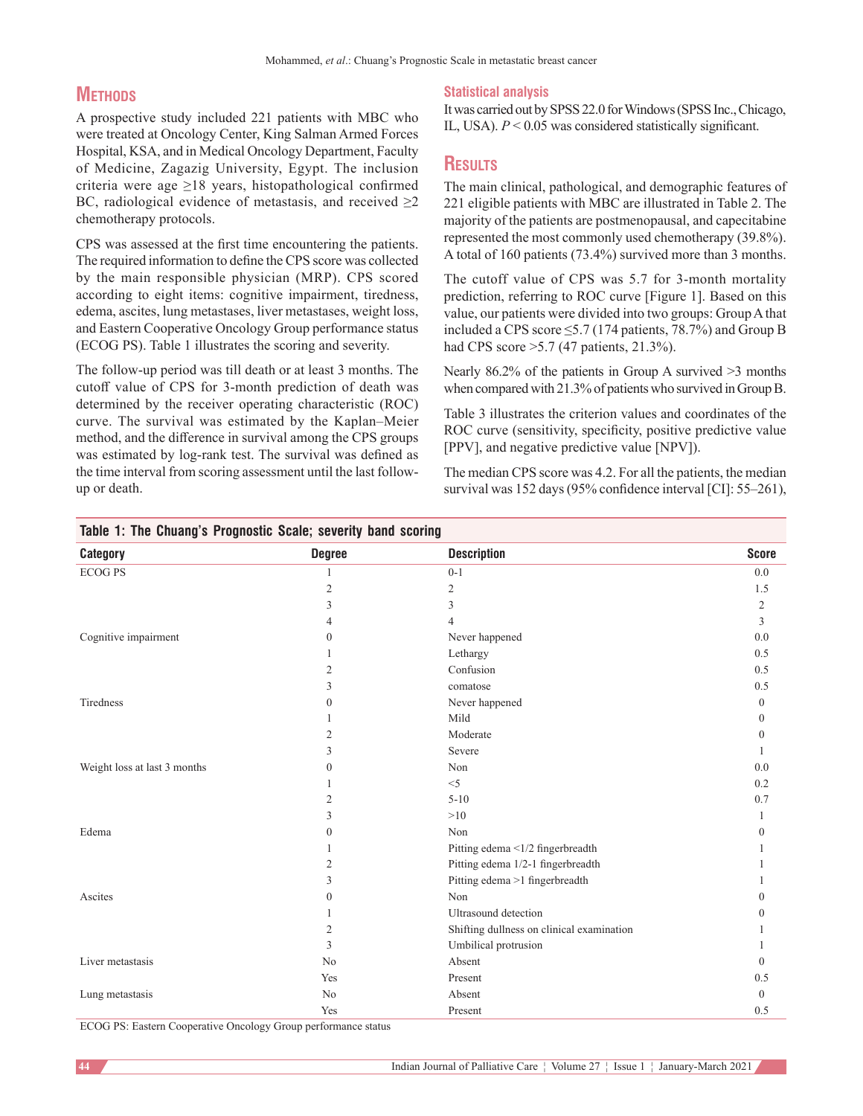# **METHODS**

A prospective study included 221 patients with MBC who were treated at Oncology Center, King Salman Armed Forces Hospital, KSA, and in Medical Oncology Department, Faculty of Medicine, Zagazig University, Egypt. The inclusion criteria were age ≥18 years, histopathological confirmed BC, radiological evidence of metastasis, and received  $\geq$ 2 chemotherapy protocols.

CPS was assessed at the first time encountering the patients. The required information to define the CPS score was collected by the main responsible physician (MRP). CPS scored according to eight items: cognitive impairment, tiredness, edema, ascites, lung metastases, liver metastases, weight loss, and Eastern Cooperative Oncology Group performance status (ECOG PS). Table 1 illustrates the scoring and severity.

The follow-up period was till death or at least 3 months. The cutoff value of CPS for 3-month prediction of death was determined by the receiver operating characteristic (ROC) curve. The survival was estimated by the Kaplan–Meier method, and the difference in survival among the CPS groups was estimated by log-rank test. The survival was defined as the time interval from scoring assessment until the last followup or death.

**Table 1: The Chuang's Prognostic Scale; severity band scoring**

#### **Statistical analysis**

It was carried out by SPSS 22.0 for Windows (SPSS Inc., Chicago, IL, USA).  $P < 0.05$  was considered statistically significant.

## **Results**

The main clinical, pathological, and demographic features of 221 eligible patients with MBC are illustrated in Table 2. The majority of the patients are postmenopausal, and capecitabine represented the most commonly used chemotherapy (39.8%). A total of 160 patients (73.4%) survived more than 3 months.

The cutoff value of CPS was 5.7 for 3-month mortality prediction, referring to ROC curve [Figure 1]. Based on this value, our patients were divided into two groups: GroupA that included a CPS score  $\leq$ 5.7 (174 patients, 78.7%) and Group B had CPS score >5.7 (47 patients, 21.3%).

Nearly 86.2% of the patients in Group A survived >3 months when compared with 21.3% of patients who survived in GroupB.

Table 3 illustrates the criterion values and coordinates of the ROC curve (sensitivity, specificity, positive predictive value [PPV], and negative predictive value [NPV]).

The median CPS score was 4.2. For all the patients, the median survival was 152 days (95% confidence interval [CI]: 55–261),

| <b>Category</b>              | <b>Degree</b>    | <b>Description</b>                        | <b>Score</b>   |
|------------------------------|------------------|-------------------------------------------|----------------|
| <b>ECOGPS</b>                | 1                | $0 - 1$                                   | 0.0            |
|                              | $\mathfrak{2}$   | $\mathbf{2}$                              | 1.5            |
|                              | 3                | 3                                         | $\overline{c}$ |
|                              | 4                | 4                                         | 3              |
| Cognitive impairment         | 0                | Never happened                            | 0.0            |
|                              |                  | Lethargy                                  | 0.5            |
|                              | 2                | Confusion                                 | 0.5            |
|                              | 3                | comatose                                  | 0.5            |
| Tiredness                    | $\theta$         | Never happened                            | $\mathbf{0}$   |
|                              |                  | Mild                                      | $\mathbf{0}$   |
|                              | $\overline{2}$   | Moderate                                  | $\Omega$       |
|                              | 3                | Severe                                    | 1              |
| Weight loss at last 3 months | $\mathbf{0}$     | Non                                       | 0.0            |
|                              | 1                | $<$ 5                                     | 0.2            |
|                              | 2                | $5 - 10$                                  | 0.7            |
|                              | 3                | >10                                       | 1              |
| Edema                        | $\Omega$         | Non                                       | $\theta$       |
|                              |                  | Pitting edema <1/2 fingerbreadth          |                |
|                              | 2                | Pitting edema 1/2-1 fingerbreadth         |                |
|                              | 3                | Pitting edema >1 fingerbreadth            |                |
| Ascites                      | $\boldsymbol{0}$ | Non                                       | $\Omega$       |
|                              |                  | Ultrasound detection                      | $\Omega$       |
|                              | $\overline{c}$   | Shifting dullness on clinical examination |                |
|                              | 3                | Umbilical protrusion                      |                |
| Liver metastasis             | N <sub>o</sub>   | Absent                                    | $\mathbf{0}$   |
|                              | Yes              | Present                                   | 0.5            |
| Lung metastasis              | No               | Absent                                    | $\mathbf{0}$   |
|                              | Yes              | Present                                   | 0.5            |

ECOG PS: Eastern Cooperative Oncology Group performance status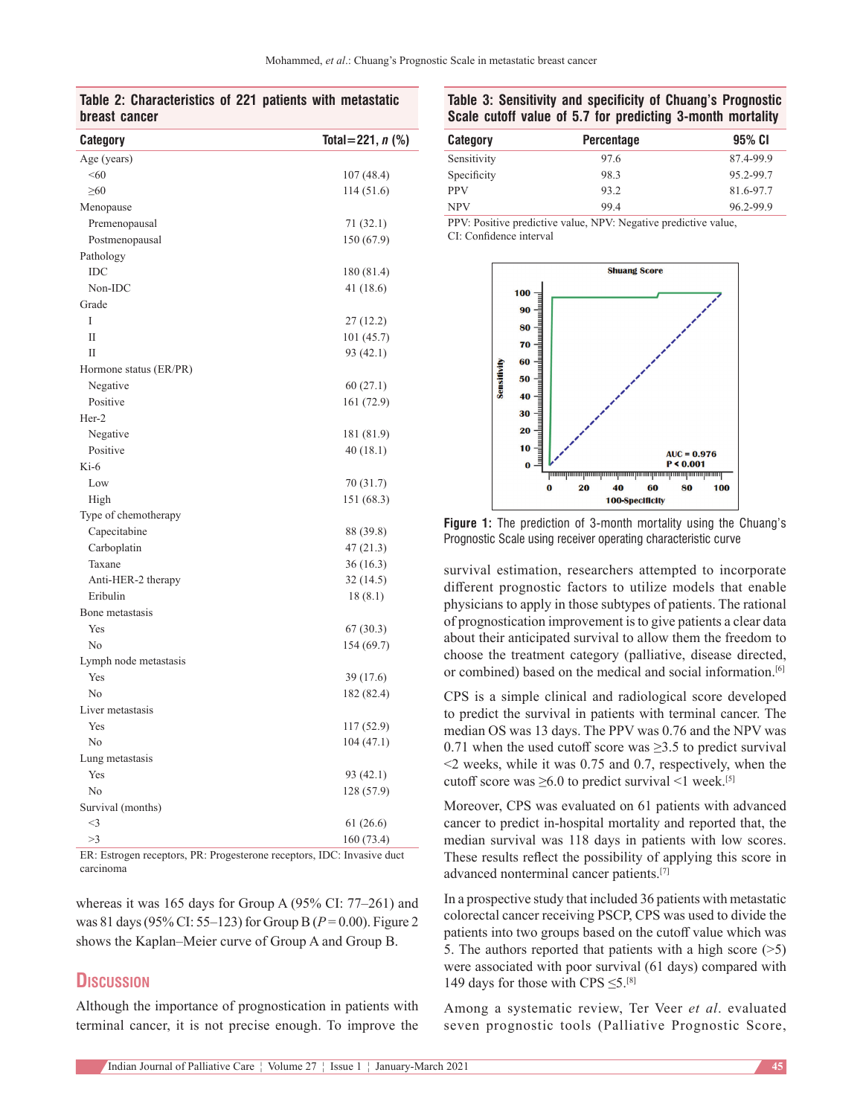#### **Table 2: Characteristics of 221 patients with metastatic breast cancer**

| Category               | Total = 221, $n$ (%) |
|------------------------|----------------------|
| Age (years)            |                      |
| < 60                   | 107 (48.4)           |
| $\geq 60$              | 114(51.6)            |
| Menopause              |                      |
| Premenopausal          | 71 (32.1)            |
| Postmenopausal         | 150 (67.9)           |
| Pathology              |                      |
| <b>IDC</b>             | 180 (81.4)           |
| Non-IDC                | 41 (18.6)            |
| Grade                  |                      |
| T                      | 27 (12.2)            |
| $\mathbf{I}$           | 101 (45.7)           |
| H                      | 93 (42.1)            |
| Hormone status (ER/PR) |                      |
| Negative               | 60(27.1)             |
| Positive               | 161 (72.9)           |
| Her-2                  |                      |
| Negative               | 181 (81.9)           |
| Positive               | 40(18.1)             |
| Ki-6                   |                      |
| Low                    | 70 (31.7)            |
| High                   | 151 (68.3)           |
| Type of chemotherapy   |                      |
| Capecitabine           | 88 (39.8)            |
| Carboplatin            | 47(21.3)             |
| Taxane                 | 36(16.3)             |
| Anti-HER-2 therapy     | 32 (14.5)            |
| Eribulin               | 18(8.1)              |
| Bone metastasis        |                      |
| Yes                    | 67 (30.3)            |
| No                     | 154 (69.7)           |
| Lymph node metastasis  |                      |
| Yes                    | 39 (17.6)            |
| No                     | 182 (82.4)           |
| Liver metastasis       |                      |
| Yes                    | 117 (52.9)           |
| N <sub>o</sub>         | 104(47.1)            |
| Lung metastasis        |                      |
| Yes                    | 93 (42.1)            |
| No                     | 128 (57.9)           |
| Survival (months)      |                      |
| $<$ 3                  | 61 (26.6)            |
| >3                     | 160(73.4)            |

ER: Estrogen receptors, PR: Progesterone receptors, IDC: Invasive duct carcinoma

whereas it was 165 days for Group A (95% CI: 77–261) and was 81 days (95% CI: 55–123) for GroupB (*P* = 0.00). Figure 2 shows the Kaplan–Meier curve of Group A and Group B.

## **Discussion**

Although the importance of prognostication in patients with terminal cancer, it is not precise enough. To improve the

## **Table 3: Sensitivity and specificity of Chuang's Prognostic Scale cutoff value of 5.7 for predicting 3-month mortality**

| <b>Category</b> | <b>Percentage</b> | 95% CI    |
|-----------------|-------------------|-----------|
| Sensitivity     | 97.6              | 87.4-99.9 |
| Specificity     | 98.3              | 95.2-99.7 |
| <b>PPV</b>      | 93.2              | 81.6-97.7 |
| <b>NPV</b>      | 99.4              | 96.2-99.9 |
|                 |                   |           |

PPV: Positive predictive value, NPV: Negative predictive value, CI: Confidence interval



**Figure 1:** The prediction of 3-month mortality using the Chuang's Prognostic Scale using receiver operating characteristic curve

survival estimation, researchers attempted to incorporate different prognostic factors to utilize models that enable physicians to apply in those subtypes of patients. The rational of prognostication improvement is to give patients a clear data about their anticipated survival to allow them the freedom to choose the treatment category (palliative, disease directed, or combined) based on the medical and social information.<sup>[6]</sup>

CPS is a simple clinical and radiological score developed to predict the survival in patients with terminal cancer. The median OS was 13 days. The PPV was 0.76 and the NPV was 0.71 when the used cutoff score was  $\geq$ 3.5 to predict survival <2 weeks, while it was 0.75 and 0.7, respectively, when the cutoff score was  $\geq 6.0$  to predict survival <1 week.<sup>[5]</sup>

Moreover, CPS was evaluated on 61 patients with advanced cancer to predict in-hospital mortality and reported that, the median survival was 118 days in patients with low scores. These results reflect the possibility of applying this score in advanced nonterminal cancer patients.[7]

In a prospective study that included 36 patients with metastatic colorectal cancer receiving PSCP, CPS was used to divide the patients into two groups based on the cutoff value which was 5. The authors reported that patients with a high score (>5) were associated with poor survival (61 days) compared with 149 days for those with CPS  $\leq 5$ .<sup>[8]</sup>

Among a systematic review, Ter Veer *et al*. evaluated seven prognostic tools (Palliative Prognostic Score,